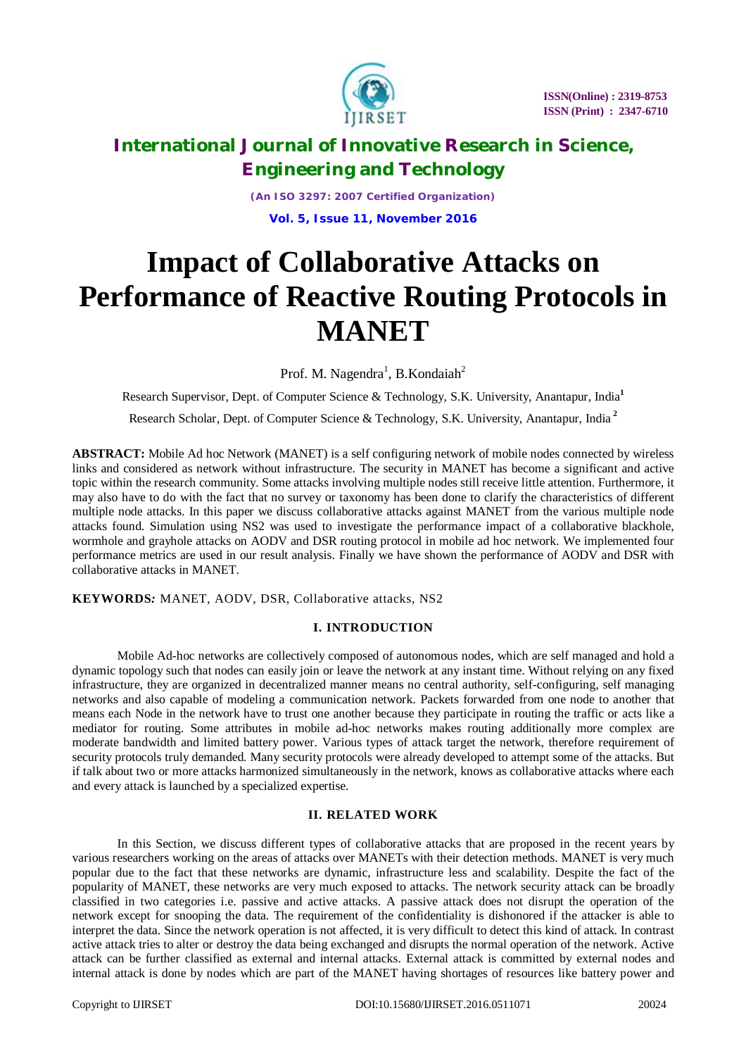

*(An ISO 3297: 2007 Certified Organization)* **Vol. 5, Issue 11, November 2016**

# **Impact of Collaborative Attacks on Performance of Reactive Routing Protocols in MANET**

Prof. M. Nagendra<sup>1</sup>, B. Kondaiah<sup>2</sup>

Research Supervisor, Dept. of Computer Science & Technology, S.K. University, Anantapur, India**<sup>1</sup>** Research Scholar, Dept. of Computer Science & Technology, S.K. University, Anantapur, India **<sup>2</sup>**

**ABSTRACT:** Mobile Ad hoc Network (MANET) is a self configuring network of mobile nodes connected by wireless links and considered as network without infrastructure. The security in MANET has become a significant and active topic within the research community. Some attacks involving multiple nodes still receive little attention. Furthermore, it may also have to do with the fact that no survey or taxonomy has been done to clarify the characteristics of different multiple node attacks. In this paper we discuss collaborative attacks against MANET from the various multiple node attacks found. Simulation using NS2 was used to investigate the performance impact of a collaborative blackhole, wormhole and grayhole attacks on AODV and DSR routing protocol in mobile ad hoc network. We implemented four performance metrics are used in our result analysis. Finally we have shown the performance of AODV and DSR with collaborative attacks in MANET.

**KEYWORDS***:* MANET, AODV, DSR, Collaborative attacks, NS2

# **I. INTRODUCTION**

Mobile Ad-hoc networks are collectively composed of autonomous nodes, which are self managed and hold a dynamic topology such that nodes can easily join or leave the network at any instant time. Without relying on any fixed infrastructure, they are organized in decentralized manner means no central authority, self-configuring, self managing networks and also capable of modeling a communication network. Packets forwarded from one node to another that means each Node in the network have to trust one another because they participate in routing the traffic or acts like a mediator for routing. Some attributes in mobile ad-hoc networks makes routing additionally more complex are moderate bandwidth and limited battery power. Various types of attack target the network, therefore requirement of security protocols truly demanded. Many security protocols were already developed to attempt some of the attacks. But if talk about two or more attacks harmonized simultaneously in the network, knows as collaborative attacks where each and every attack is launched by a specialized expertise.

# **II. RELATED WORK**

In this Section, we discuss different types of collaborative attacks that are proposed in the recent years by various researchers working on the areas of attacks over MANETs with their detection methods. MANET is very much popular due to the fact that these networks are dynamic, infrastructure less and scalability. Despite the fact of the popularity of MANET, these networks are very much exposed to attacks. The network security attack can be broadly classified in two categories i.e. passive and active attacks. A passive attack does not disrupt the operation of the network except for snooping the data. The requirement of the confidentiality is dishonored if the attacker is able to interpret the data. Since the network operation is not affected, it is very difficult to detect this kind of attack. In contrast active attack tries to alter or destroy the data being exchanged and disrupts the normal operation of the network. Active attack can be further classified as external and internal attacks. External attack is committed by external nodes and internal attack is done by nodes which are part of the MANET having shortages of resources like battery power and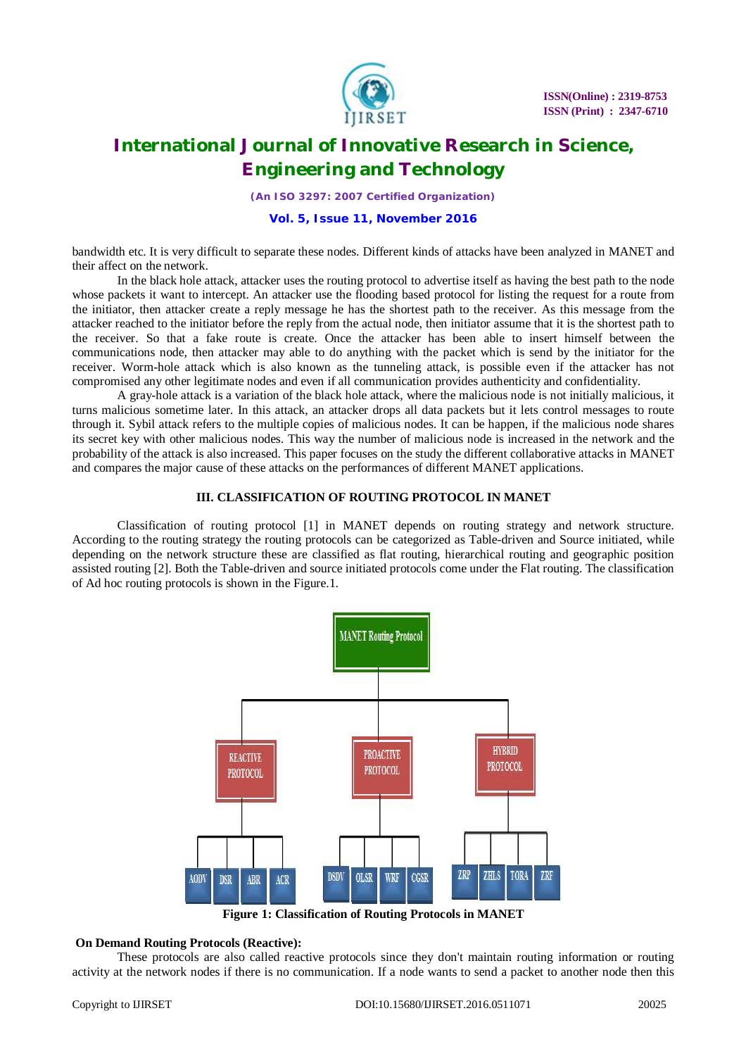

*(An ISO 3297: 2007 Certified Organization)*

**Vol. 5, Issue 11, November 2016**

bandwidth etc. It is very difficult to separate these nodes. Different kinds of attacks have been analyzed in MANET and their affect on the network.

In the black hole attack, attacker uses the routing protocol to advertise itself as having the best path to the node whose packets it want to intercept. An attacker use the flooding based protocol for listing the request for a route from the initiator, then attacker create a reply message he has the shortest path to the receiver. As this message from the attacker reached to the initiator before the reply from the actual node, then initiator assume that it is the shortest path to the receiver. So that a fake route is create. Once the attacker has been able to insert himself between the communications node, then attacker may able to do anything with the packet which is send by the initiator for the receiver. Worm-hole attack which is also known as the tunneling attack, is possible even if the attacker has not compromised any other legitimate nodes and even if all communication provides authenticity and confidentiality.

A gray-hole attack is a variation of the black hole attack, where the malicious node is not initially malicious, it turns malicious sometime later. In this attack, an attacker drops all data packets but it lets control messages to route through it. Sybil attack refers to the multiple copies of malicious nodes. It can be happen, if the malicious node shares its secret key with other malicious nodes. This way the number of malicious node is increased in the network and the probability of the attack is also increased. This paper focuses on the study the different collaborative attacks in MANET and compares the major cause of these attacks on the performances of different MANET applications.

## **III. CLASSIFICATION OF ROUTING PROTOCOL IN MANET**

Classification of routing protocol [1] in MANET depends on routing strategy and network structure. According to the routing strategy the routing protocols can be categorized as Table-driven and Source initiated, while depending on the network structure these are classified as flat routing, hierarchical routing and geographic position assisted routing [2]. Both the Table-driven and source initiated protocols come under the Flat routing. The classification of Ad hoc routing protocols is shown in the Figure.1.



**Figure 1: Classification of Routing Protocols in MANET**

### **On Demand Routing Protocols (Reactive):**

These protocols are also called reactive protocols since they don't maintain routing information or routing activity at the network nodes if there is no communication. If a node wants to send a packet to another node then this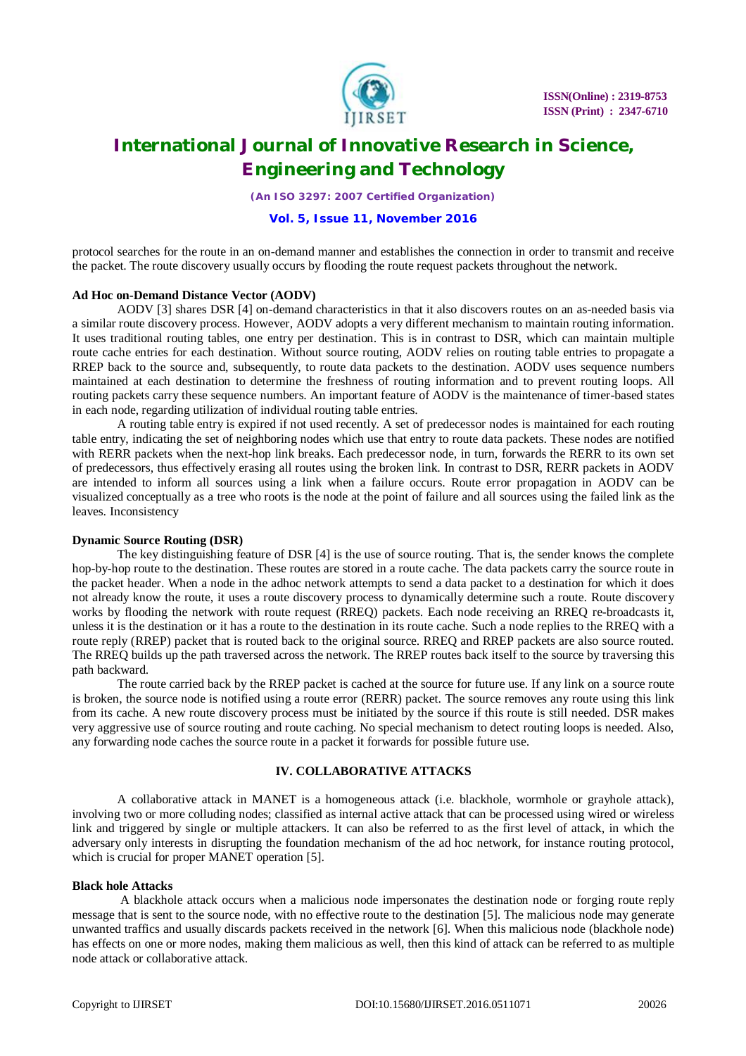

*(An ISO 3297: 2007 Certified Organization)*

**Vol. 5, Issue 11, November 2016**

protocol searches for the route in an on-demand manner and establishes the connection in order to transmit and receive the packet. The route discovery usually occurs by flooding the route request packets throughout the network.

### **Ad Hoc on-Demand Distance Vector (AODV)**

AODV [3] shares DSR [4] on-demand characteristics in that it also discovers routes on an as-needed basis via a similar route discovery process. However, AODV adopts a very different mechanism to maintain routing information. It uses traditional routing tables, one entry per destination. This is in contrast to DSR, which can maintain multiple route cache entries for each destination. Without source routing, AODV relies on routing table entries to propagate a RREP back to the source and, subsequently, to route data packets to the destination. AODV uses sequence numbers maintained at each destination to determine the freshness of routing information and to prevent routing loops. All routing packets carry these sequence numbers. An important feature of AODV is the maintenance of timer-based states in each node, regarding utilization of individual routing table entries.

A routing table entry is expired if not used recently. A set of predecessor nodes is maintained for each routing table entry, indicating the set of neighboring nodes which use that entry to route data packets. These nodes are notified with RERR packets when the next-hop link breaks. Each predecessor node, in turn, forwards the RERR to its own set of predecessors, thus effectively erasing all routes using the broken link. In contrast to DSR, RERR packets in AODV are intended to inform all sources using a link when a failure occurs. Route error propagation in AODV can be visualized conceptually as a tree who roots is the node at the point of failure and all sources using the failed link as the leaves. Inconsistency

### **Dynamic Source Routing (DSR)**

The key distinguishing feature of DSR [4] is the use of source routing. That is, the sender knows the complete hop-by-hop route to the destination. These routes are stored in a route cache. The data packets carry the source route in the packet header. When a node in the adhoc network attempts to send a data packet to a destination for which it does not already know the route, it uses a route discovery process to dynamically determine such a route. Route discovery works by flooding the network with route request (RREQ) packets. Each node receiving an RREQ re-broadcasts it, unless it is the destination or it has a route to the destination in its route cache. Such a node replies to the RREQ with a route reply (RREP) packet that is routed back to the original source. RREQ and RREP packets are also source routed. The RREQ builds up the path traversed across the network. The RREP routes back itself to the source by traversing this path backward.

The route carried back by the RREP packet is cached at the source for future use. If any link on a source route is broken, the source node is notified using a route error (RERR) packet. The source removes any route using this link from its cache. A new route discovery process must be initiated by the source if this route is still needed. DSR makes very aggressive use of source routing and route caching. No special mechanism to detect routing loops is needed. Also, any forwarding node caches the source route in a packet it forwards for possible future use.

## **IV. COLLABORATIVE ATTACKS**

A collaborative attack in MANET is a homogeneous attack (i.e. blackhole, wormhole or grayhole attack), involving two or more colluding nodes; classified as internal active attack that can be processed using wired or wireless link and triggered by single or multiple attackers. It can also be referred to as the first level of attack, in which the adversary only interests in disrupting the foundation mechanism of the ad hoc network, for instance routing protocol, which is crucial for proper MANET operation [5].

### **Black hole Attacks**

 A blackhole attack occurs when a malicious node impersonates the destination node or forging route reply message that is sent to the source node, with no effective route to the destination [5]. The malicious node may generate unwanted traffics and usually discards packets received in the network [6]. When this malicious node (blackhole node) has effects on one or more nodes, making them malicious as well, then this kind of attack can be referred to as multiple node attack or collaborative attack.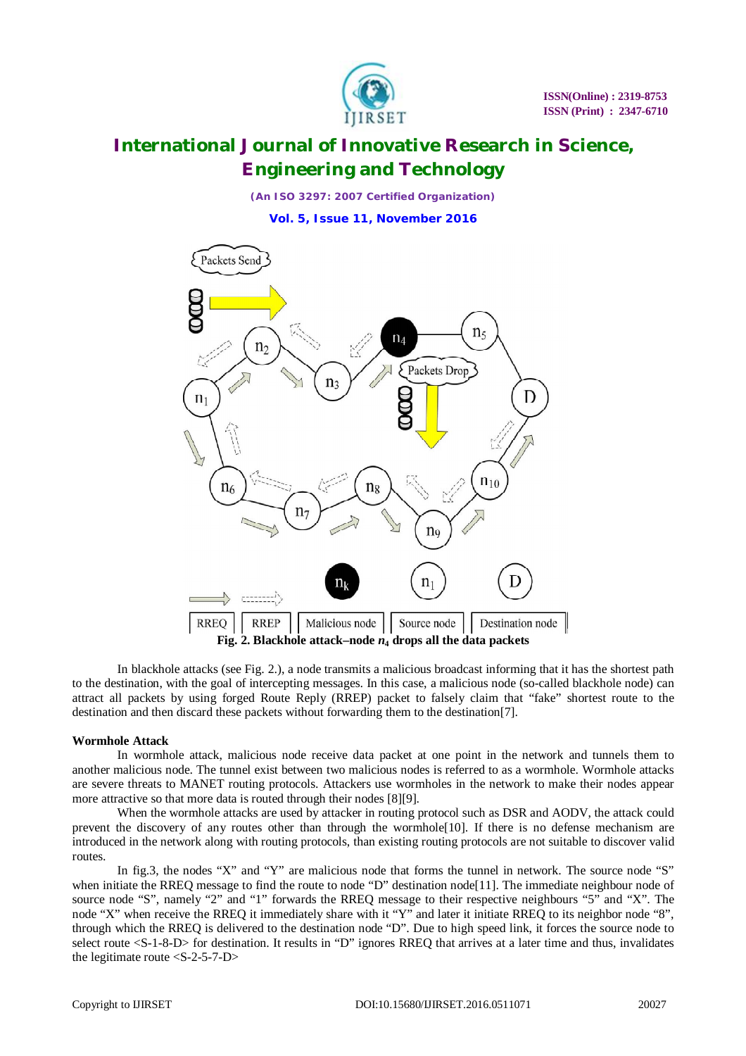

*(An ISO 3297: 2007 Certified Organization)* **Vol. 5, Issue 11, November 2016**



In blackhole attacks (see Fig. 2.), a node transmits a malicious broadcast informing that it has the shortest path to the destination, with the goal of intercepting messages. In this case, a malicious node (so-called blackhole node) can attract all packets by using forged Route Reply (RREP) packet to falsely claim that "fake" shortest route to the destination and then discard these packets without forwarding them to the destination[7].

### **Wormhole Attack**

 In wormhole attack, malicious node receive data packet at one point in the network and tunnels them to another malicious node. The tunnel exist between two malicious nodes is referred to as a wormhole. Wormhole attacks are severe threats to MANET routing protocols. Attackers use wormholes in the network to make their nodes appear more attractive so that more data is routed through their nodes [8][9].

When the wormhole attacks are used by attacker in routing protocol such as DSR and AODV, the attack could prevent the discovery of any routes other than through the wormhole[10]. If there is no defense mechanism are introduced in the network along with routing protocols, than existing routing protocols are not suitable to discover valid routes.

In fig.3, the nodes "X" and "Y" are malicious node that forms the tunnel in network. The source node "S" when initiate the RREQ message to find the route to node "D" destination node[11]. The immediate neighbour node of source node "S", namely "2" and "1" forwards the RREQ message to their respective neighbours "5" and "X". The node "X" when receive the RREQ it immediately share with it "Y" and later it initiate RREQ to its neighbor node "8", through which the RREQ is delivered to the destination node "D". Due to high speed link, it forces the source node to select route <S-1-8-D> for destination. It results in "D" ignores RREQ that arrives at a later time and thus, invalidates the legitimate route  $\langle S-2-5-7-D \rangle$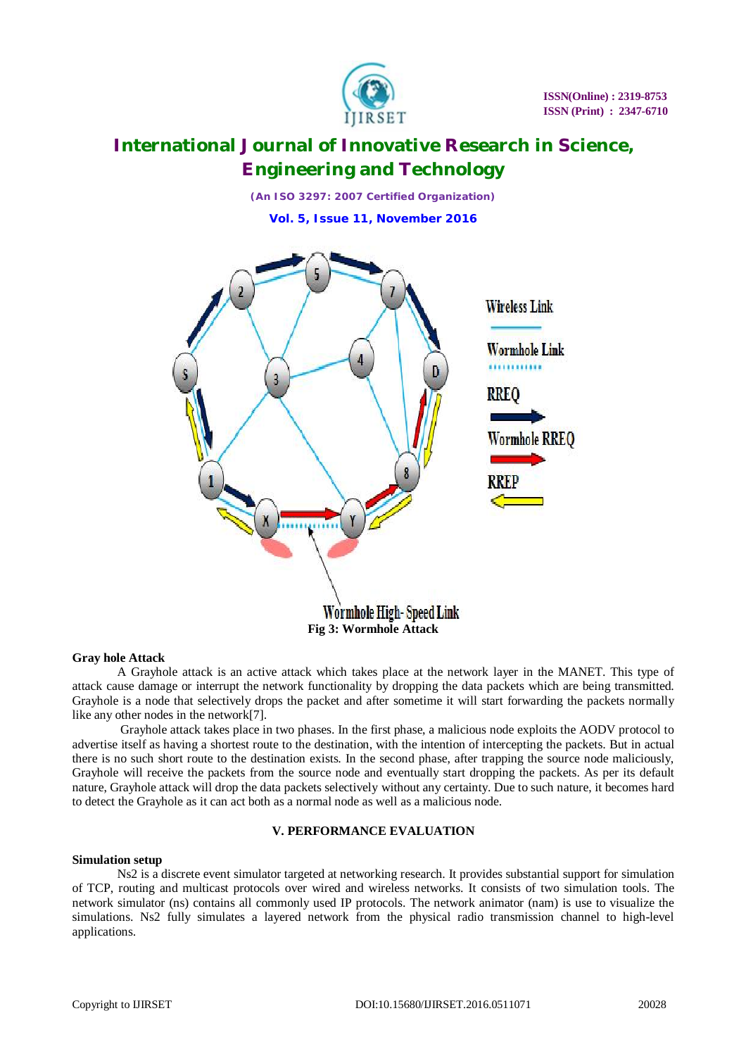

*(An ISO 3297: 2007 Certified Organization)* **Vol. 5, Issue 11, November 2016**



### **Gray hole Attack**

 A Grayhole attack is an active attack which takes place at the network layer in the MANET. This type of attack cause damage or interrupt the network functionality by dropping the data packets which are being transmitted. Grayhole is a node that selectively drops the packet and after sometime it will start forwarding the packets normally like any other nodes in the network[7].

 Grayhole attack takes place in two phases. In the first phase, a malicious node exploits the AODV protocol to advertise itself as having a shortest route to the destination, with the intention of intercepting the packets. But in actual there is no such short route to the destination exists. In the second phase, after trapping the source node maliciously, Grayhole will receive the packets from the source node and eventually start dropping the packets. As per its default nature, Grayhole attack will drop the data packets selectively without any certainty. Due to such nature, it becomes hard to detect the Grayhole as it can act both as a normal node as well as a malicious node.

## **V. PERFORMANCE EVALUATION**

# **Simulation setup**

Ns2 is a discrete event simulator targeted at networking research. It provides substantial support for simulation of TCP, routing and multicast protocols over wired and wireless networks. It consists of two simulation tools. The network simulator (ns) contains all commonly used IP protocols. The network animator (nam) is use to visualize the simulations. Ns2 fully simulates a layered network from the physical radio transmission channel to high-level applications.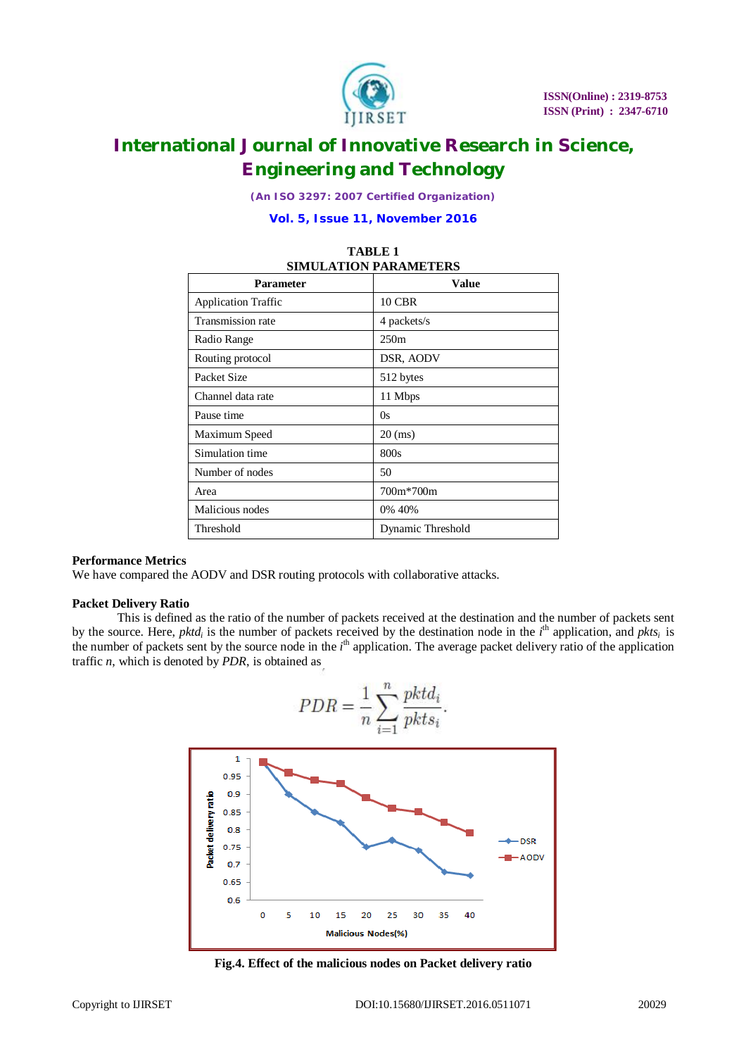

*(An ISO 3297: 2007 Certified Organization)*

**Vol. 5, Issue 11, November 2016**

| <b>SIMULATION PARAMETERS</b> |                   |
|------------------------------|-------------------|
| <b>Parameter</b>             | Value             |
| <b>Application Traffic</b>   | <b>10 CBR</b>     |
| Transmission rate            | 4 packets/s       |
| Radio Range                  | 250m              |
| Routing protocol             | DSR, AODV         |
| Packet Size                  | 512 bytes         |
| Channel data rate            | 11 Mbps           |
| Pause time                   | 0s                |
| Maximum Speed                | $20$ (ms)         |
| Simulation time              | 800s              |
| Number of nodes              | 50                |
| Area                         | 700m*700m         |
| Malicious nodes              | 0% 40%            |
| Threshold                    | Dynamic Threshold |

# **TABLE 1**

### **Performance Metrics**

We have compared the AODV and DSR routing protocols with collaborative attacks.

### **Packet Delivery Ratio**

This is defined as the ratio of the number of packets received at the destination and the number of packets sent by the source. Here, *pktd<sub>i</sub>* is the number of packets received by the destination node in the  $i^{\text{th}}$  application, and *pkts<sub>i</sub>* is the number of packets sent by the source node in the *i*<sup>th</sup> application. The average packet delivery ratio of the application traffic *n*, which is denoted by *PDR*, is obtained as



**Fig.4. Effect of the malicious nodes on Packet delivery ratio**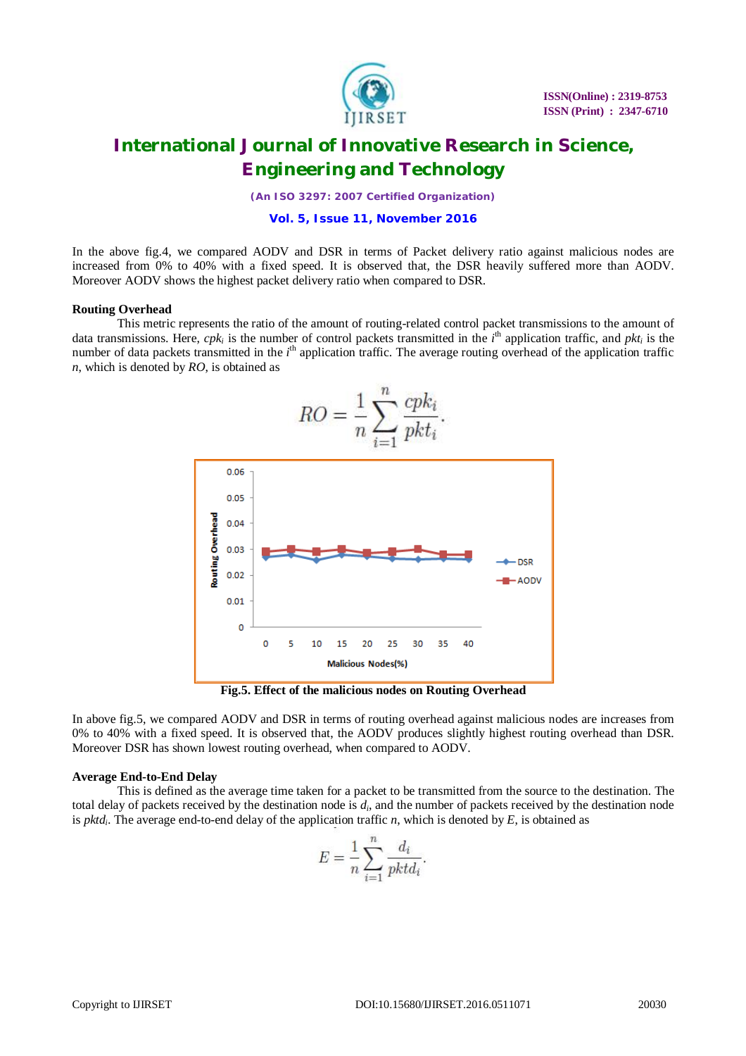

*(An ISO 3297: 2007 Certified Organization)*

#### **Vol. 5, Issue 11, November 2016**

In the above fig.4, we compared AODV and DSR in terms of Packet delivery ratio against malicious nodes are increased from 0% to 40% with a fixed speed. It is observed that, the DSR heavily suffered more than AODV. Moreover AODV shows the highest packet delivery ratio when compared to DSR.

### **Routing Overhead**

This metric represents the ratio of the amount of routing-related control packet transmissions to the amount of data transmissions. Here,  $cpk_i$  is the number of control packets transmitted in the  $i<sup>th</sup>$  application traffic, and  $pkt_i$  is the number of data packets transmitted in the *i*<sup>th</sup> application traffic. The average routing overhead of the application traffic *n*, which is denoted by *RO*, is obtained as



**Fig.5. Effect of the malicious nodes on Routing Overhead**

In above fig.5, we compared AODV and DSR in terms of routing overhead against malicious nodes are increases from 0% to 40% with a fixed speed. It is observed that, the AODV produces slightly highest routing overhead than DSR. Moreover DSR has shown lowest routing overhead, when compared to AODV.

### **Average End-to-End Delay**

This is defined as the average time taken for a packet to be transmitted from the source to the destination. The total delay of packets received by the destination node is *d<sup>i</sup>* , and the number of packets received by the destination node is *pktd<sup>i</sup>* . The average end-to-end delay of the application traffic *n*, which is denoted by *E*, is obtained as

$$
E = \frac{1}{n} \sum_{i=1}^{n} \frac{d_i}{pktd_i}.
$$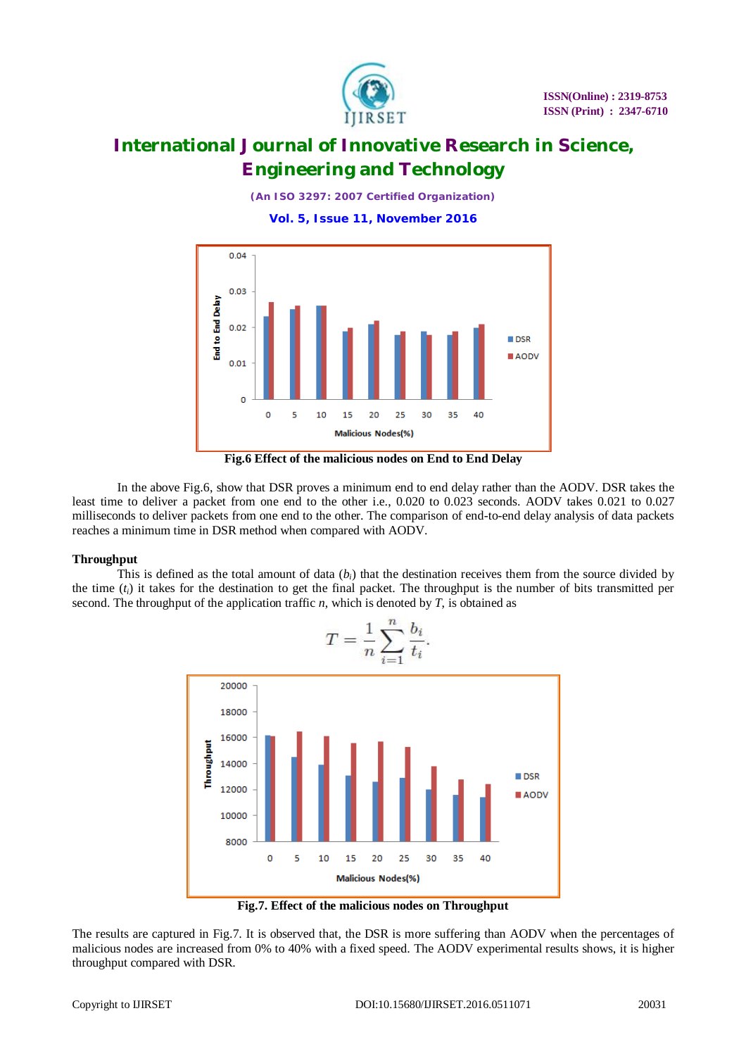

*(An ISO 3297: 2007 Certified Organization)* **Vol. 5, Issue 11, November 2016**



**Fig.6 Effect of the malicious nodes on End to End Delay**

In the above Fig.6, show that DSR proves a minimum end to end delay rather than the AODV. DSR takes the least time to deliver a packet from one end to the other i.e., 0.020 to 0.023 seconds. AODV takes 0.021 to 0.027 milliseconds to deliver packets from one end to the other. The comparison of end-to-end delay analysis of data packets reaches a minimum time in DSR method when compared with AODV.

## **Throughput**

This is defined as the total amount of data  $(b_i)$  that the destination receives them from the source divided by the time (*ti*) it takes for the destination to get the final packet. The throughput is the number of bits transmitted per second. The throughput of the application traffic  $n$ , which is denoted by  $T$ , is obtained as



**Fig.7. Effect of the malicious nodes on Throughput**

The results are captured in Fig.7. It is observed that, the DSR is more suffering than AODV when the percentages of malicious nodes are increased from 0% to 40% with a fixed speed. The AODV experimental results shows, it is higher throughput compared with DSR.